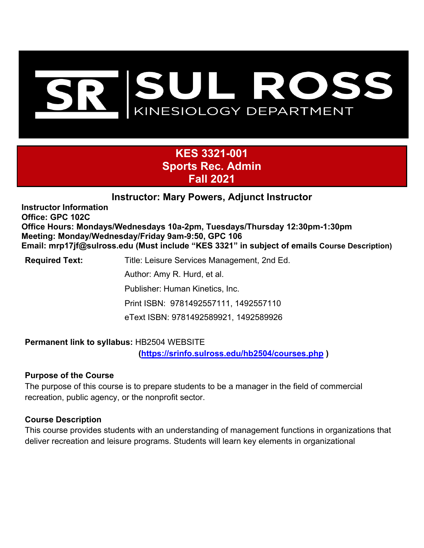

# **KES 3321-001 Sports Rec. Admin Fall 2021**

# **Instructor: Mary Powers, Adjunct Instructor**

**Instructor Information Office: GPC 102C Office Hours: Mondays/Wednesdays 10a-2pm, Tuesdays/Thursday 12:30pm-1:30pm Meeting: Monday/Wednesday/Friday 9am-9:50, GPC 106 Email: mrp17jf@sulross.edu (Must include "KES 3321" in subject of emails Course Description)** 

**Required Text:** Title: Leisure Services Management, 2nd Ed. Author: Amy R. Hurd, et al. Publisher: Human Kinetics, Inc. Print ISBN: 9781492557111, 1492557110 eText ISBN: 9781492589921, 1492589926

#### **Permanent link to syllabus:** HB2504 WEBSITE

**[\(https://srinfo.sulross.edu/hb2504/courses.php](https://srinfo.sulross.edu/hb2504/courses.php) )** 

#### **Purpose of the Course**

The purpose of this course is to prepare students to be a manager in the field of commercial recreation, public agency, or the nonprofit sector.

#### **Course Description**

This course provides students with an understanding of management functions in organizations that deliver recreation and leisure programs. Students will learn key elements in organizational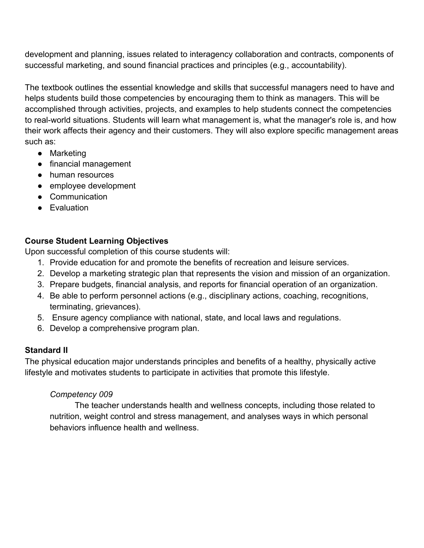development and planning, issues related to interagency collaboration and contracts, components of successful marketing, and sound financial practices and principles (e.g., accountability).

The textbook outlines the essential knowledge and skills that successful managers need to have and helps students build those competencies by encouraging them to think as managers. This will be accomplished through activities, projects, and examples to help students connect the competencies to real-world situations. Students will learn what management is, what the manager's role is, and how their work affects their agency and their customers. They will also explore specific management areas such as:

- Marketing
- financial management
- human resources
- employee development
- Communication
- Evaluation

### **Course Student Learning Objectives**

Upon successful completion of this course students will:

- 1. Provide education for and promote the benefits of recreation and leisure services.
- 2. Develop a marketing strategic plan that represents the vision and mission of an organization.
- 3. Prepare budgets, financial analysis, and reports for financial operation of an organization.
- 4. Be able to perform personnel actions (e.g., disciplinary actions, coaching, recognitions, terminating, grievances).
- 5. Ensure agency compliance with national, state, and local laws and regulations.
- 6. Develop a comprehensive program plan.

# **Standard II**

The physical education major understands principles and benefits of a healthy, physically active lifestyle and motivates students to participate in activities that promote this lifestyle.

# *Competency 009*

The teacher understands health and wellness concepts, including those related to nutrition, weight control and stress management, and analyses ways in which personal behaviors influence health and wellness.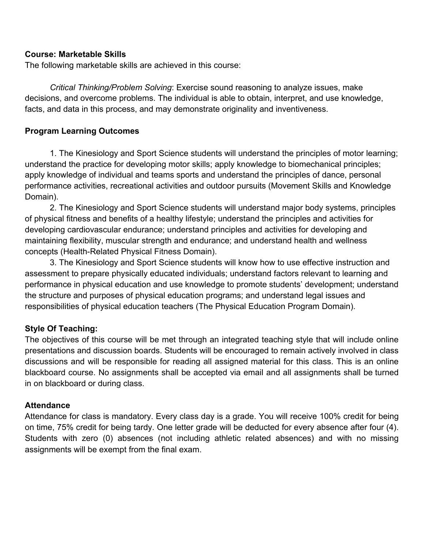#### **Course: Marketable Skills**

The following marketable skills are achieved in this course:

*Critical Thinking/Problem Solving*: Exercise sound reasoning to analyze issues, make decisions, and overcome problems. The individual is able to obtain, interpret, and use knowledge, facts, and data in this process, and may demonstrate originality and inventiveness.

#### **Program Learning Outcomes**

1. The Kinesiology and Sport Science students will understand the principles of motor learning; understand the practice for developing motor skills; apply knowledge to biomechanical principles; apply knowledge of individual and teams sports and understand the principles of dance, personal performance activities, recreational activities and outdoor pursuits (Movement Skills and Knowledge Domain).

2. The Kinesiology and Sport Science students will understand major body systems, principles of physical fitness and benefits of a healthy lifestyle; understand the principles and activities for developing cardiovascular endurance; understand principles and activities for developing and maintaining flexibility, muscular strength and endurance; and understand health and wellness concepts (Health-Related Physical Fitness Domain).

3. The Kinesiology and Sport Science students will know how to use effective instruction and assessment to prepare physically educated individuals; understand factors relevant to learning and performance in physical education and use knowledge to promote students' development; understand the structure and purposes of physical education programs; and understand legal issues and responsibilities of physical education teachers (The Physical Education Program Domain).

#### **Style Of Teaching:**

The objectives of this course will be met through an integrated teaching style that will include online presentations and discussion boards. Students will be encouraged to remain actively involved in class discussions and will be responsible for reading all assigned material for this class. This is an online blackboard course. No assignments shall be accepted via email and all assignments shall be turned in on blackboard or during class.

#### **Attendance**

Attendance for class is mandatory. Every class day is a grade. You will receive 100% credit for being on time, 75% credit for being tardy. One letter grade will be deducted for every absence after four (4). Students with zero (0) absences (not including athletic related absences) and with no missing assignments will be exempt from the final exam.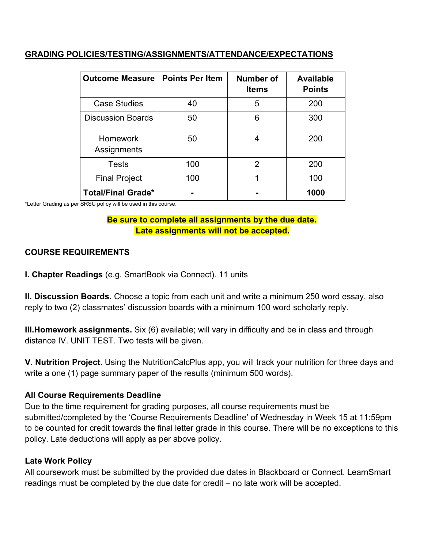#### **GRADING POLICIES/TESTING/ASSIGNMENTS/ATTENDANCE/EXPECTATIONS**

| <b>Outcome Measure</b>         | <b>Points Per Item</b> | Number of<br><b>Items</b> | <b>Available</b><br><b>Points</b> |
|--------------------------------|------------------------|---------------------------|-----------------------------------|
| <b>Case Studies</b>            | 40                     | 5                         | 200                               |
| <b>Discussion Boards</b>       | 50                     | 6                         | 300                               |
| <b>Homework</b><br>Assignments | 50                     | 4                         | 200                               |
| <b>Tests</b>                   | 100                    | 2                         | 200                               |
| <b>Final Project</b>           | 100                    | 1                         | 100                               |
| <b>Total/Final Grade*</b>      |                        |                           | 1000                              |

\*Letter Grading as per SRSU policy will be used in this course.

#### **Be sure to complete all assignments by the due date. Late assignments will not be accepted.**

### **COURSE REQUIREMENTS**

**I. Chapter Readings** (e.g. SmartBook via Connect). 11 units

**II. Discussion Boards.** Choose a topic from each unit and write a minimum 250 word essay, also reply to two (2) classmates' discussion boards with a minimum 100 word scholarly reply.

**III.Homework assignments.** Six (6) available; will vary in difficulty and be in class and through distance IV. UNIT TEST. Two tests will be given.

**V. Nutrition Project.** Using the NutritionCalcPlus app, you will track your nutrition for three days and write a one (1) page summary paper of the results (minimum 500 words).

#### **All Course Requirements Deadline**

Due to the time requirement for grading purposes, all course requirements must be submitted/completed by the 'Course Requirements Deadline' of Wednesday in Week 15 at 11:59pm to be counted for credit towards the final letter grade in this course. There will be no exceptions to this policy. Late deductions will apply as per above policy.

#### **Late Work Policy**

All coursework must be submitted by the provided due dates in Blackboard or Connect. LearnSmart readings must be completed by the due date for credit – no late work will be accepted.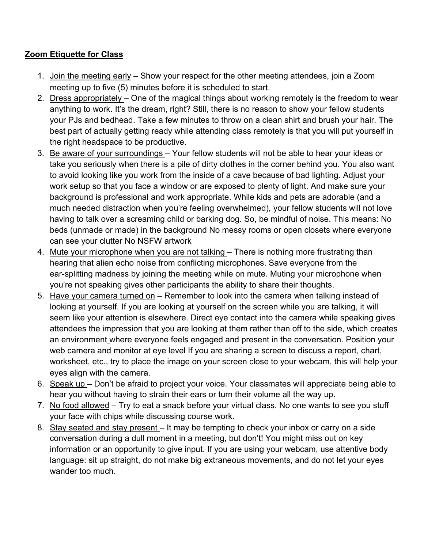# **Zoom Etiquette for Class**

- 1. Join the meeting early Show your respect for the other meeting attendees, join a Zoom meeting up to five (5) minutes before it is scheduled to start.
- 2. Dress appropriately One of the magical things about working remotely is the freedom to wear anything to work. It's the dream, right? Still, there is no reason to show your fellow students your PJs and bedhead. Take a few minutes to throw on a clean shirt and brush your hair. The best part of actually getting ready while attending class remotely is that you will put yourself in the right headspace to be productive.
- 3. Be aware of your surroundings Your fellow students will not be able to hear your ideas or take you seriously when there is a pile of dirty clothes in the corner behind you. You also want to avoid looking like you work from the inside of a cave because of bad lighting. Adjust your work setup so that you face a window or are exposed to plenty of light. And make sure your background is professional and work appropriate. While kids and pets are adorable (and a much needed distraction when you're feeling overwhelmed), your fellow students will not love having to talk over a screaming child or barking dog. So, be mindful of noise. This means: No beds (unmade or made) in the background No messy rooms or open closets where everyone can see your clutter No NSFW artwork
- 4. Mute your microphone when you are not talking There is nothing more frustrating than hearing that alien echo noise from conflicting microphones. Save everyone from the ear-splitting madness by joining the meeting while on mute. Muting your microphone when you're not speaking gives other participants the ability to share their thoughts.
- 5. Have your camera turned on Remember to look into the camera when talking instead of looking at yourself. If you are looking at yourself on the screen while you are talking, it will seem like your attention is elsewhere. Direct eye contact into the camera while speaking gives attendees the impression that you are looking at them rather than off to the side, which creates an environment where everyone feels engaged and present in the conversation. Position your web camera and monitor at eye level If you are sharing a screen to discuss a report, chart, worksheet, etc., try to place the image on your screen close to your webcam, this will help your eyes align with the camera.
- 6. Speak up Don't be afraid to project your voice. Your classmates will appreciate being able to hear you without having to strain their ears or turn their volume all the way up.
- 7. No food allowed Try to eat a snack before your virtual class. No one wants to see you stuff your face with chips while discussing course work.
- 8. Stay seated and stay present It may be tempting to check your inbox or carry on a side conversation during a dull moment in a meeting, but don't! You might miss out on key information or an opportunity to give input. If you are using your webcam, use attentive body language: sit up straight, do not make big extraneous movements, and do not let your eyes wander too much.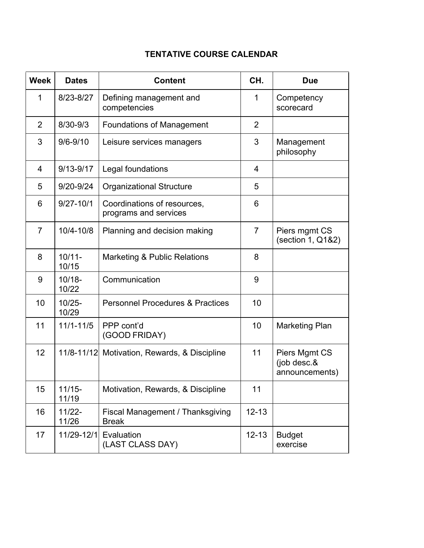# **TENTATIVE COURSE CALENDAR**

| <b>Week</b>    | <b>Dates</b>       | <b>Content</b>                                       | CH.            | <b>Due</b>                                     |
|----------------|--------------------|------------------------------------------------------|----------------|------------------------------------------------|
| 1              | 8/23-8/27          | Defining management and<br>competencies              | 1              | Competency<br>scorecard                        |
| $\overline{2}$ | 8/30-9/3           | <b>Foundations of Management</b>                     | $\overline{2}$ |                                                |
| 3              | $9/6 - 9/10$       | Leisure services managers                            | 3              | Management<br>philosophy                       |
| 4              | $9/13 - 9/17$      | Legal foundations                                    | 4              |                                                |
| 5              | 9/20-9/24          | <b>Organizational Structure</b>                      | 5              |                                                |
| 6              | $9/27 - 10/1$      | Coordinations of resources,<br>programs and services | 6              |                                                |
| $\overline{7}$ | $10/4 - 10/8$      | Planning and decision making                         | $\overline{7}$ | Piers mgmt CS<br>(section 1, Q1&2)             |
| 8              | $10/11 -$<br>10/15 | Marketing & Public Relations                         | 8              |                                                |
| 9              | $10/18 -$<br>10/22 | Communication                                        | 9              |                                                |
| 10             | $10/25 -$<br>10/29 | <b>Personnel Procedures &amp; Practices</b>          | 10             |                                                |
| 11             | $11/1 - 11/5$      | PPP cont'd<br>(GOOD FRIDAY)                          | 10             | <b>Marketing Plan</b>                          |
| 12             |                    | 11/8-11/12 Motivation, Rewards, & Discipline         | 11             | Piers Mgmt CS<br>(job desc.&<br>announcements) |
| 15             | $11/15 -$<br>11/19 | Motivation, Rewards, & Discipline                    | 11             |                                                |
| 16             | $11/22 -$<br>11/26 | Fiscal Management / Thanksgiving<br><b>Break</b>     | $12 - 13$      |                                                |
| 17             | 11/29-12/1         | Evaluation<br>(LAST CLASS DAY)                       | $12 - 13$      | <b>Budget</b><br>exercise                      |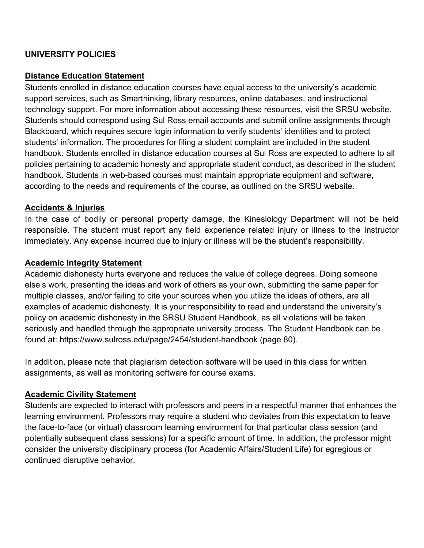### **UNIVERSITY POLICIES**

#### **Distance Education Statement**

Students enrolled in distance education courses have equal access to the university's academic support services, such as Smarthinking, library resources, online databases, and instructional technology support. For more information about accessing these resources, visit the SRSU website. Students should correspond using Sul Ross email accounts and submit online assignments through Blackboard, which requires secure login information to verify students' identities and to protect students' information. The procedures for filing a student complaint are included in the student handbook. Students enrolled in distance education courses at Sul Ross are expected to adhere to all policies pertaining to academic honesty and appropriate student conduct, as described in the student handbook. Students in web-based courses must maintain appropriate equipment and software, according to the needs and requirements of the course, as outlined on the SRSU website.

#### **Accidents & Injuries**

In the case of bodily or personal property damage, the Kinesiology Department will not be held responsible. The student must report any field experience related injury or illness to the Instructor immediately. Any expense incurred due to injury or illness will be the student's responsibility.

#### **Academic Integrity Statement**

Academic dishonesty hurts everyone and reduces the value of college degrees. Doing someone else's work, presenting the ideas and work of others as your own, submitting the same paper for multiple classes, and/or failing to cite your sources when you utilize the ideas of others, are all examples of academic dishonesty. It is your responsibility to read and understand the university's policy on academic dishonesty in the SRSU Student Handbook, as all violations will be taken seriously and handled through the appropriate university process. The Student Handbook can be found at: [https://www.sulross.edu/page/2454/student-handbook](http://www.sulross.edu/page/2454/student-handbook) (page 80).

In addition, please note that plagiarism detection software will be used in this class for written assignments, as well as monitoring software for course exams.

#### **Academic Civility Statement**

Students are expected to interact with professors and peers in a respectful manner that enhances the learning environment. Professors may require a student who deviates from this expectation to leave the face-to-face (or virtual) classroom learning environment for that particular class session (and potentially subsequent class sessions) for a specific amount of time. In addition, the professor might consider the university disciplinary process (for Academic Affairs/Student Life) for egregious or continued disruptive behavior.